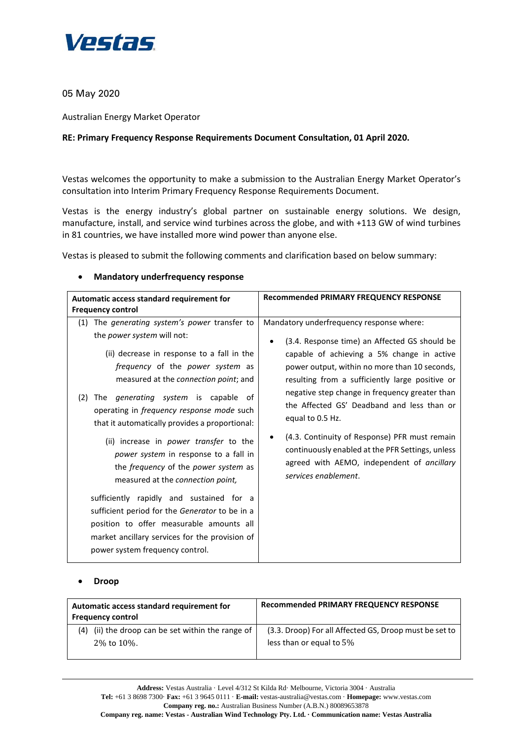

05 May 2020

Australian Energy Market Operator

# **RE: Primary Frequency Response Requirements Document Consultation, 01 April 2020.**

Vestas welcomes the opportunity to make a submission to the Australian Energy Market Operator's consultation into Interim Primary Frequency Response Requirements Document.

Vestas is the energy industry's global partner on sustainable energy solutions. We design, manufacture, install, and service wind turbines across the globe, and with +113 GW of wind turbines in 81 countries, we have installed more wind power than anyone else.

Vestas is pleased to submit the following comments and clarification based on below summary:

## • **Mandatory underfrequency response**

| Automatic access standard requirement for<br><b>Frequency control</b>                                                                                                                                                                                                                                                                                                                     | Recommended PRIMARY FREQUENCY RESPONSE                                                                                                                                                                                                                                                                                                                               |
|-------------------------------------------------------------------------------------------------------------------------------------------------------------------------------------------------------------------------------------------------------------------------------------------------------------------------------------------------------------------------------------------|----------------------------------------------------------------------------------------------------------------------------------------------------------------------------------------------------------------------------------------------------------------------------------------------------------------------------------------------------------------------|
| The <i>generating system's power</i> transfer to<br>(1)<br>the power system will not:<br>(ii) decrease in response to a fall in the<br><i>frequency</i> of the <i>power</i> system as<br>measured at the connection point; and<br>The <i>generating</i> system is capable of<br>(2)<br>operating in <i>frequency response mode</i> such<br>that it automatically provides a proportional: | Mandatory underfrequency response where:<br>(3.4. Response time) an Affected GS should be<br>٠<br>capable of achieving a 5% change in active<br>power output, within no more than 10 seconds,<br>resulting from a sufficiently large positive or<br>negative step change in frequency greater than<br>the Affected GS' Deadband and less than or<br>equal to 0.5 Hz. |
| (ii) increase in power transfer to the<br>power system in response to a fall in<br>the <i>frequency</i> of the <i>power system</i> as<br>measured at the connection point,<br>sufficiently rapidly and sustained for a<br>sufficient period for the Generator to be in a<br>position to offer measurable amounts all<br>market ancillary services for the provision of                    | (4.3. Continuity of Response) PFR must remain<br>continuously enabled at the PFR Settings, unless<br>agreed with AEMO, independent of ancillary<br>services enablement.                                                                                                                                                                                              |
| power system frequency control.                                                                                                                                                                                                                                                                                                                                                           |                                                                                                                                                                                                                                                                                                                                                                      |

## • **Droop**

| Automatic access standard requirement for<br><b>Frequency control</b> | Recommended PRIMARY FREQUENCY RESPONSE                 |
|-----------------------------------------------------------------------|--------------------------------------------------------|
| (4) (ii) the droop can be set within the range of                     | (3.3. Droop) For all Affected GS, Droop must be set to |
| 2% to 10%.                                                            | less than or equal to $5\%$                            |